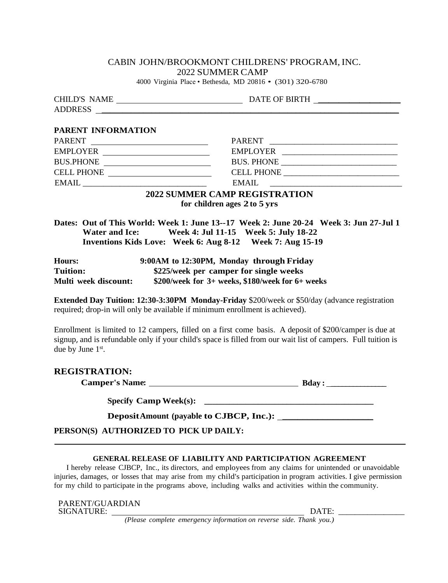### CABIN JOHN/BROOKMONT CHILDRENS' PROGRAM, INC. 2022 SUMMER CAMP

4000 Virginia Place • Bethesda, MD 20816 • (301) 320-6780

| <b>PARENT INFORMATION</b>                                                                                                                                                                                                                                                                                                                                                                                                                                                                                                                                                                                                          |                                                                                                                                                                                                                                                                                                                                                                                                                                                                                                                                                                                                                     |  |
|------------------------------------------------------------------------------------------------------------------------------------------------------------------------------------------------------------------------------------------------------------------------------------------------------------------------------------------------------------------------------------------------------------------------------------------------------------------------------------------------------------------------------------------------------------------------------------------------------------------------------------|---------------------------------------------------------------------------------------------------------------------------------------------------------------------------------------------------------------------------------------------------------------------------------------------------------------------------------------------------------------------------------------------------------------------------------------------------------------------------------------------------------------------------------------------------------------------------------------------------------------------|--|
|                                                                                                                                                                                                                                                                                                                                                                                                                                                                                                                                                                                                                                    | PARENT                                                                                                                                                                                                                                                                                                                                                                                                                                                                                                                                                                                                              |  |
| EMPLOYER                                                                                                                                                                                                                                                                                                                                                                                                                                                                                                                                                                                                                           | EMPLOYER                                                                                                                                                                                                                                                                                                                                                                                                                                                                                                                                                                                                            |  |
| BUS.PHONE                                                                                                                                                                                                                                                                                                                                                                                                                                                                                                                                                                                                                          |                                                                                                                                                                                                                                                                                                                                                                                                                                                                                                                                                                                                                     |  |
|                                                                                                                                                                                                                                                                                                                                                                                                                                                                                                                                                                                                                                    |                                                                                                                                                                                                                                                                                                                                                                                                                                                                                                                                                                                                                     |  |
| $\text{EMAIL} \underline{\hspace{2cm}} \underline{\hspace{2cm}} \underline{\hspace{2cm}} \underline{\hspace{2cm}} \underline{\hspace{2cm}} \underline{\hspace{2cm}} \underline{\hspace{2cm}} \underline{\hspace{2cm}} \underline{\hspace{2cm}} \underline{\hspace{2cm}} \underline{\hspace{2cm}} \underline{\hspace{2cm}} \underline{\hspace{2cm}} \underline{\hspace{2cm}} \underline{\hspace{2cm}} \underline{\hspace{2cm}} \underline{\hspace{2cm}} \underline{\hspace{2cm}} \underline{\hspace{2cm}} \underline{\hspace{2cm}} \underline{\hspace{2cm}} \underline{\hspace{2cm}} \underline{\hspace{2cm}} \underline{\hspace{2$ | $\begin{tabular}{ll} EMAIL & \begin{tabular}{@{}c@{}} \quad {\bf \textcolor{green}{\bf \textcolor{green}{\bf \textcolor{green}{\bf \textcolor{green}{\bf \textcolor{green}{\bf \textcolor{green}{\bf \textcolor{green}{\bf \textcolor{green}{\bf \textcolor{green}{\bf \textcolor{green}{\bf \textcolor{green}{\bf \textcolor{green}{\bf \textcolor{green}{\bf \textcolor{green}{\bf \textcolor{green}{\bf \textcolor{green}{\bf \textcolor{green}{\bf \textcolor{green}{\bf \textcolor{green}{\bf \textcolor{green}{\bf \textcolor{green}{\bf \textcolor{green}{\bf \textcolor{green}{\bf \textcolor{green}{\bf \$ |  |
| <b>2022 SUMMER CAMP REGISTRATION</b><br>for children ages 2 to 5 yrs                                                                                                                                                                                                                                                                                                                                                                                                                                                                                                                                                               |                                                                                                                                                                                                                                                                                                                                                                                                                                                                                                                                                                                                                     |  |
| Dates: Out of This World: Week 1: June 13--17 Week 2: June 20-24 Week 3: Jun 27-Jul 1<br>Water and Ice: Week 4: Jul 11-15 Week 5: July 18-22                                                                                                                                                                                                                                                                                                                                                                                                                                                                                       |                                                                                                                                                                                                                                                                                                                                                                                                                                                                                                                                                                                                                     |  |

 **Inventions Kids Love: Week 6: Aug 8-12 Week 7: Aug 15-19** 

| Hours:               | 9:00AM to 12:30PM, Monday through Friday           |
|----------------------|----------------------------------------------------|
| Tuition:             | \$225/week per camper for single weeks             |
| Multi week discount: | $$200$ /week for 3+ weeks, \$180/week for 6+ weeks |

**Extended Day Tuition: 12:30-3:30PM Monday-Friday** \$200/week or \$50/day (advance registration required; drop-in will only be available if minimum enrollment is achieved).

Enrollment is limited to 12 campers, filled on a first come basis. A deposit of \$200/camper is due at signup, and is refundable only if your child's space is filled from our wait list of campers. Full tuition is due by June  $1<sup>st</sup>$ .

### **REGISTRATION:**

l

**Camper's Name: Bday :** \_\_\_\_\_\_\_\_\_\_\_\_\_\_\_

**Specify Camp Week(s): \_\_\_\_\_\_\_\_\_\_\_\_\_\_\_\_\_\_\_\_\_\_\_\_\_\_\_\_\_\_\_\_\_\_\_\_\_\_\_\_\_** 

**DepositAmount (payable to CJBCP, Inc.):** \_\_\_\_\_\_\_\_\_\_\_\_\_\_\_\_\_\_

**PERSON(S) AUTHORIZED TO PICK UP DAILY:** 

#### **GENERAL RELEASE OF LIABILITY AND PARTICIPATION AGREEMENT**

I hereby release CJBCP, Inc., its directors, and employees from any claims for unintended or unavoidable injuries, damages, or losses that may arise from my child's participation in program activities. I give permission for my child to participate in the programs above, including walks and activities within the community.

| PARENT/GUARDIAN |  |
|-----------------|--|
| SIGNATURE:      |  |

DATE:

*(Please complete emergency information on reverse side. Thank you.)*